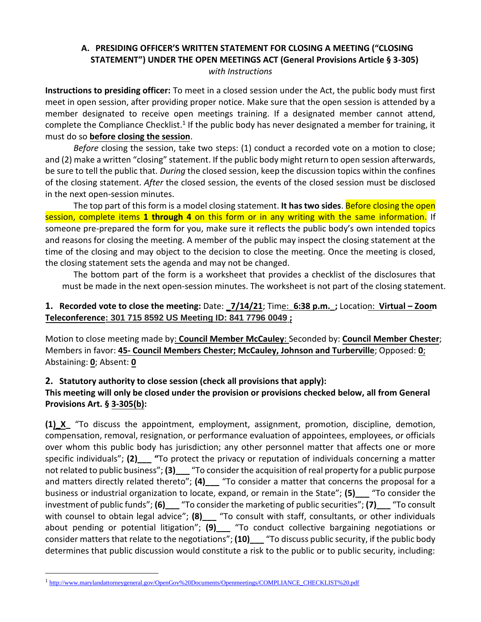## **A. PRESIDING OFFICER'S WRITTEN STATEMENT FOR CLOSING A MEETING ("CLOSING STATEMENT") UNDER THE OPEN MEETINGS ACT (General Provisions Article § 3-305)** *with Instructions*

**Instructions to presiding officer:** To meet in a closed session under the Act, the public body must first meet in open session, after providing proper notice. Make sure that the open session is attended by a member designated to receive open meetings training. If a designated member cannot attend, complete the Compliance Checklist.<sup>1</sup> If the public body has never designated a member for training, it must do so **before closing the session**.

*Before* closing the session, take two steps: (1) conduct a recorded vote on a motion to close; and (2) make a written "closing" statement. If the public body might return to open session afterwards, be sure to tell the public that. *During* the closed session, keep the discussion topics within the confines of the closing statement. *After* the closed session, the events of the closed session must be disclosed in the next open-session minutes.

The top part of this form is a model closing statement. **It has two sides**. Before closing the open session, complete items **1 through 4** on this form or in any writing with the same information. If someone pre-prepared the form for you, make sure it reflects the public body's own intended topics and reasons for closing the meeting. A member of the public may inspect the closing statement at the time of the closing and may object to the decision to close the meeting. Once the meeting is closed, the closing statement sets the agenda and may not be changed.

The bottom part of the form is a worksheet that provides a checklist of the disclosures that must be made in the next open-session minutes. The worksheet is not part of the closing statement.

## **1. Recorded vote to close the meeting:** Date: **\_7/14/21**; Time:\_**6:38 p.m.\_;** Location: **Virtual – Zoom Teleconference: 301 715 8592 US Meeting ID: 841 7796 0049 ;**

Motion to close meeting made by: **Council Member McCauley**: Seconded by: **Council Member Chester**; Members in favor: **45- Council Members Chester; McCauley, Johnson and Turberville**; Opposed: **0**; Abstaining: **0**; Absent: **0**

## **2. Statutory authority to close session (check all provisions that apply):**

## **This meeting will only be closed under the provision or provisions checked below, all from General Provisions Art. § 3-305(b):**

**(1)\_X\_** "To discuss the appointment, employment, assignment, promotion, discipline, demotion, compensation, removal, resignation, or performance evaluation of appointees, employees, or officials over whom this public body has jurisdiction; any other personnel matter that affects one or more specific individuals"; **(2)\_\_\_ "**To protect the privacy or reputation of individuals concerning a matter not related to public business"; (3) <sup>"</sup>To consider the acquisition of real property for a public purpose and matters directly related thereto"; (4)\_\_\_ "To consider a matter that concerns the proposal for a business or industrial organization to locate, expand, or remain in the State"; **(5)\_\_\_** "To consider the investment of public funds"; **(6)\_\_\_** "To consider the marketing of public securities"; **(7)\_\_\_** "To consult with counsel to obtain legal advice"; **(8)** <sup>1</sup> To consult with staff, consultants, or other individuals about pending or potential litigation"; **(9)\_\_\_** "To conduct collective bargaining negotiations or consider matters that relate to the negotiations"; **(10)\_\_\_** "To discuss public security, if the public body determines that public discussion would constitute a risk to the public or to public security, including:

<sup>&</sup>lt;sup>1</sup>[http://www.marylandattorneygeneral.gov/OpenGov%20Documents/Openmeetings/COMPLIANCE\\_CHECKLIST%20.pdf](http://www.marylandattorneygeneral.gov/OpenGov%20Documents/Openmeetings/COMPLIANCE_CHECKLIST%20.pdf)